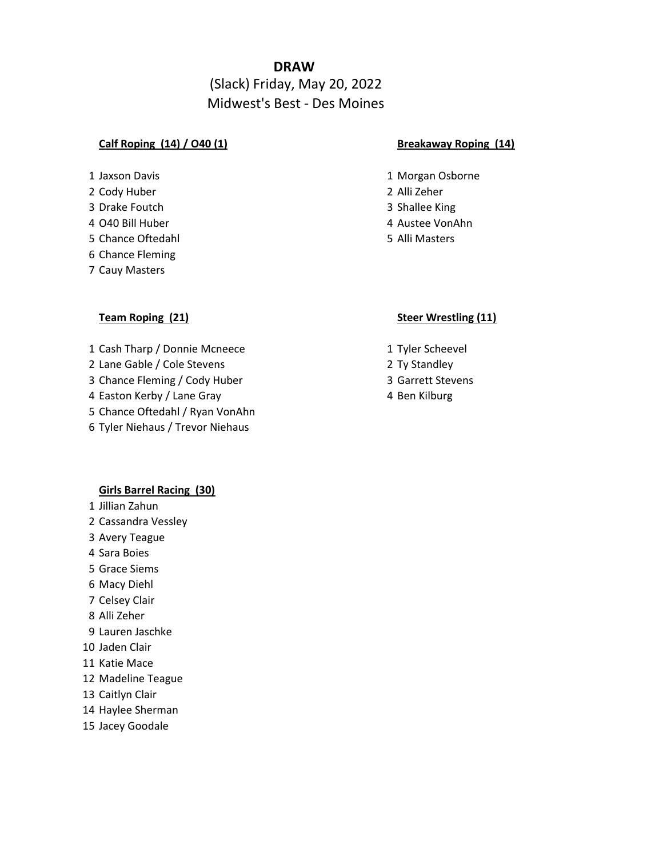# **DRAW**

# (Slack) Friday, May 20, 2022 Midwest's Best - Des Moines

### **Calf Roping (14) / O40 (1) Breakaway Roping (14)**

- 
- Cody Huber 2 Alli Zeher
- Drake Foutch 3 Shallee King
- 
- Chance Oftedahl 5 Alli Masters
- Chance Fleming
- Cauy Masters

- 1 Cash Tharp / Donnie Mcneece 1 Tyler Scheevel
- 2 Lane Gable / Cole Stevens 2 Ty Standley
- 3 Chance Fleming / Cody Huber 3 Garrett Stevens
- 4 Easton Kerby / Lane Gray 4 Ben Kilburg
- Chance Oftedahl / Ryan VonAhn
- Tyler Niehaus / Trevor Niehaus

### **Girls Barrel Racing (30)**

- Jillian Zahun
- Cassandra Vessley
- Avery Teague
- Sara Boies
- Grace Siems
- Macy Diehl
- Celsey Clair
- Alli Zeher
- Lauren Jaschke
- Jaden Clair
- Katie Mace
- Madeline Teague
- Caitlyn Clair
- Haylee Sherman
- Jacey Goodale

- 1 Jaxson Davis **1 Morgan Osborne** 
	-
	-
- O40 Bill Huber 4 Austee VonAhn
	-

### **Team Roping (21) Steer Wrestling (11)**

- 
- 
- 
-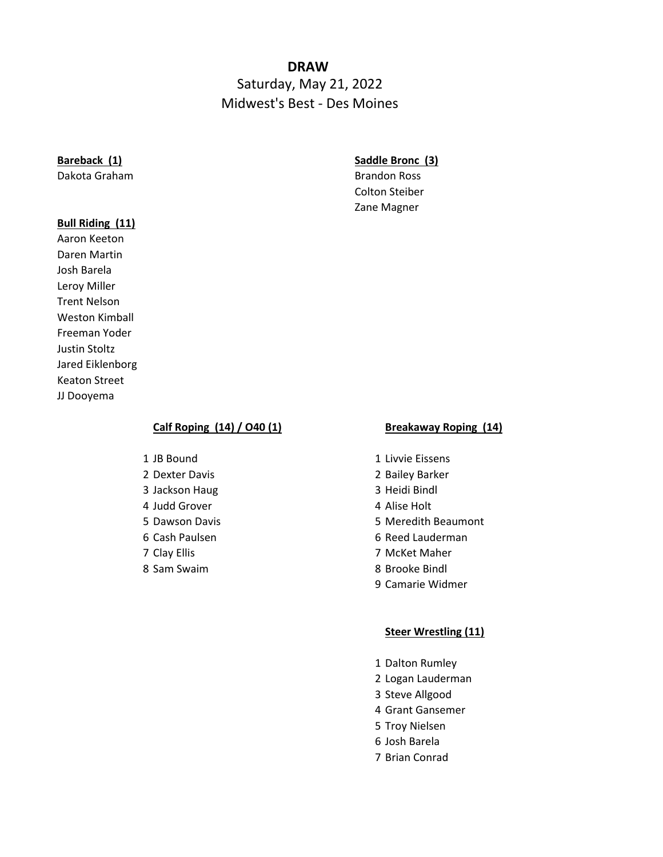# **DRAW**  Saturday, May 21, 2022 Midwest's Best - Des Moines

### **Bull Riding (11)**

Aaron Keeton Daren Martin Josh Barela Leroy Miller Trent Nelson Weston Kimball Freeman Yoder Justin Stoltz Jared Eiklenborg Keaton Street JJ Dooyema

## **Bareback (1) Saddle Bronc (3)**

Dakota Graham Brandon Ross Colton Steiber Zane Magner

### **Calf Roping (14) / O40 (1) Breakaway Roping (14)**

- 
- 
- 3 Jackson Haug 3 Heidi Bindl
- 4 Judd Grover 4 Alise Holt
- 
- 
- 
- 

- 1 JB Bound 1 Livvie Eissens
- 2 Dexter Davis 2 Bailey Barker
	-
	-
- 5 Dawson Davis **5 Dawson Davis 5 Meredith Beaumont**
- 6 Cash Paulsen 6 Reed Lauderman
- 7 Clay Ellis 7 McKet Maher
- 8 Sam Swaim 8 Brooke Bindl
	- 9 Camarie Widmer

### **Steer Wrestling (11)**

- 1 Dalton Rumley
- 2 Logan Lauderman
- 3 Steve Allgood
- 4 Grant Gansemer
- 5 Troy Nielsen
- 6 Josh Barela
- 7 Brian Conrad